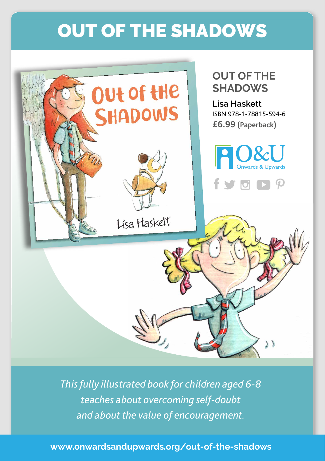## OUT OF THE SHADOWS



*This fully illustrated book for children aged 6-8 teaches about overcoming self-doubt and about the value of encouragement.*

**www.onwardsandupwards.org/out-of-the-shadows**